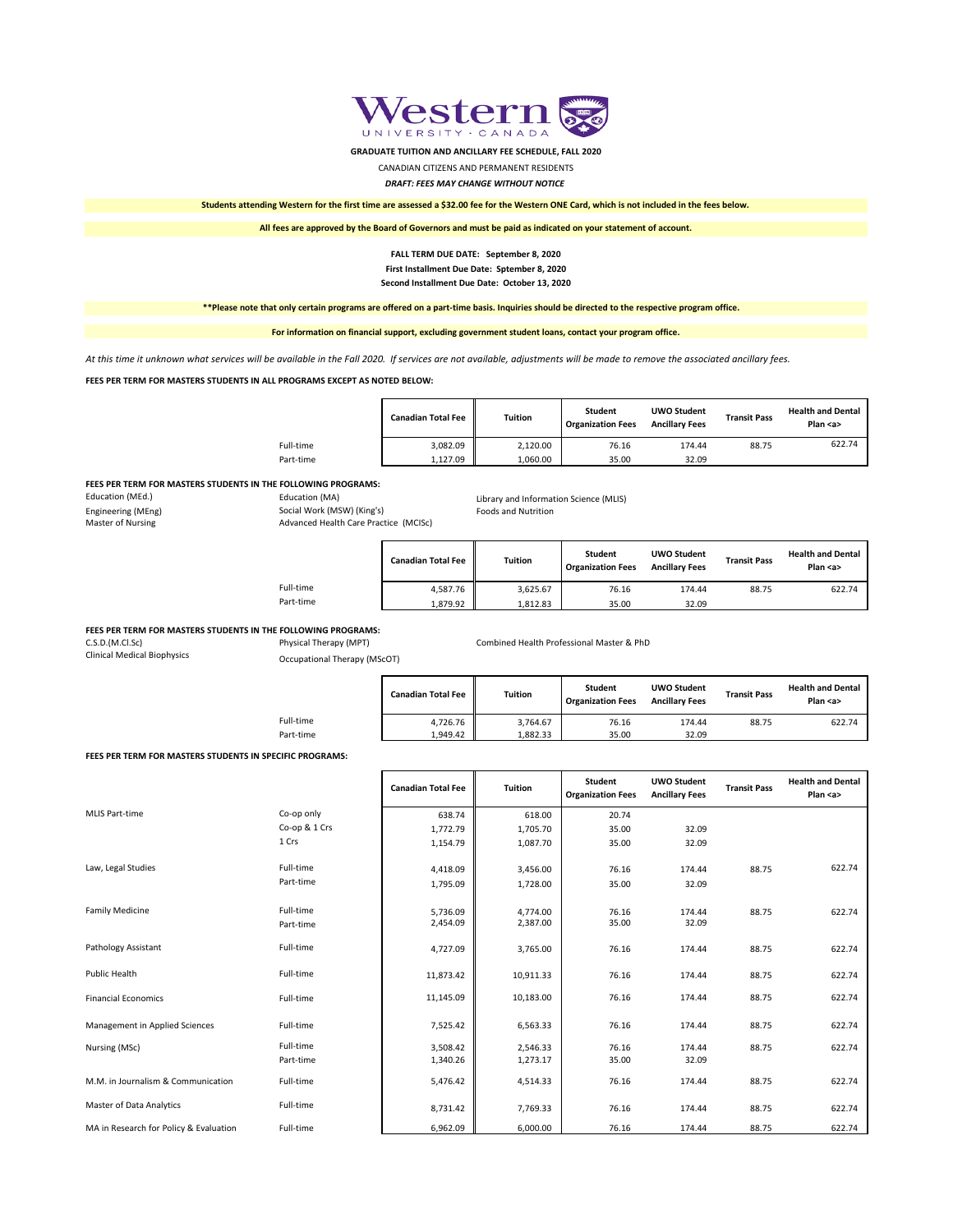#### **FEES PER TERM FOR MASTERS STUDENTS IN THE FOLLOWING PROGRAMS:**

| Education (MEd.)   | Education (MA)                        | Library and Information Science (MLIS) |
|--------------------|---------------------------------------|----------------------------------------|
| Engineering (MEng) | Social Work (MSW) (King's)            | <b>Foods and Nutrition</b>             |
| Master of Nursing  | Advanced Health Care Practice (MCISc) |                                        |

#### **FEES PER TERM FOR MASTERS STUDENTS IN THE FOLLOWING PROGRAMS:**

| C.S.D.(M.Cl.Sc) | Physical Therapy (MPT) | Combined Health Professional Master & PhD |
|-----------------|------------------------|-------------------------------------------|
|                 |                        |                                           |

Clinical Medical Biophysics Occupational Therapy (MScOT)

#### **FEES PER TERM FOR MASTERS STUDENTS IN SPECIFIC PROGRAMS:**

|           | <b>Canadian Total Fee</b> | Tuition  | <b>Student</b><br><b>Organization Fees</b> | <b>UWO Student</b><br><b>Ancillary Fees</b> | <b>Transit Pass</b> | <b>Health and Dental</b><br>Plan $az$ |
|-----------|---------------------------|----------|--------------------------------------------|---------------------------------------------|---------------------|---------------------------------------|
| Full-time | 3,082.09                  | 2,120.00 | 76.16                                      | 174.44                                      | 88.75               | 622.74                                |
| Part-time | 1,127.09                  | 1,060.00 | 35.00                                      | 32.09                                       |                     |                                       |

| Law, Legal Studies                     | Full-time<br>Part-time | 4,418.09<br>1,795.09 | 3,456.00<br>1,728.00 | 76.16<br>35.00 | 174.44<br>32.09 | 88.75 | 622.74 |
|----------------------------------------|------------------------|----------------------|----------------------|----------------|-----------------|-------|--------|
| <b>Family Medicine</b>                 | Full-time<br>Part-time | 5,736.09<br>2,454.09 | 4,774.00<br>2,387.00 | 76.16<br>35.00 | 174.44<br>32.09 | 88.75 | 622.74 |
| Pathology Assistant                    | Full-time              | 4,727.09             | 3,765.00             | 76.16          | 174.44          | 88.75 | 622.74 |
| Public Health                          | Full-time              | 11,873.42            | 10,911.33            | 76.16          | 174.44          | 88.75 | 622.74 |
| <b>Financial Economics</b>             | Full-time              | 11,145.09            | 10,183.00            | 76.16          | 174.44          | 88.75 | 622.74 |
| Management in Applied Sciences         | Full-time              | 7,525.42             | 6,563.33             | 76.16          | 174.44          | 88.75 | 622.74 |
| Nursing (MSc)                          | Full-time<br>Part-time | 3,508.42<br>1,340.26 | 2,546.33<br>1,273.17 | 76.16<br>35.00 | 174.44<br>32.09 | 88.75 | 622.74 |
| M.M. in Journalism & Communication     | Full-time              | 5,476.42             | 4,514.33             | 76.16          | 174.44          | 88.75 | 622.74 |
| <b>Master of Data Analytics</b>        | Full-time              | 8,731.42             | 7,769.33             | 76.16          | 174.44          | 88.75 | 622.74 |
| MA in Research for Policy & Evaluation | Full-time              | 6,962.09             | 6,000.00             | 76.16          | 174.44          | 88.75 | 622.74 |

|           | <b>Canadian Total Fee</b> | Tuition  | <b>Student</b><br><b>Organization Fees</b> | <b>UWO Student</b><br><b>Ancillary Fees</b> | <b>Transit Pass</b> | <b>Health and Dental</b><br>Plan $\leq a$ |
|-----------|---------------------------|----------|--------------------------------------------|---------------------------------------------|---------------------|-------------------------------------------|
| Full-time | 4,587.76                  | 3,625.67 | 76.16                                      | 174.44                                      | 88.75               | 622.74                                    |
| Part-time | 1,879.92                  | 1.812.83 | 35.00                                      | 32.09                                       |                     |                                           |

|           | <b>Canadian Total Fee</b> | Tuition  | <b>Student</b><br><b>Organization Fees</b> | <b>UWO Student</b><br><b>Ancillary Fees</b> | <b>Transit Pass</b> | <b>Health and Dental</b><br>Plan $\langle$ a $\rangle$ |
|-----------|---------------------------|----------|--------------------------------------------|---------------------------------------------|---------------------|--------------------------------------------------------|
| Full-time | 4,726.76                  | 3,764.67 | 76.16                                      | 174.44                                      | 88.75               | 622.74                                                 |
| Part-time | 1,949.42                  | 1,882.33 | 35.00                                      | 32.09                                       |                     |                                                        |

|                |               | <b>Canadian Total Fee</b> | Tuition  | <b>Student</b><br><b>Organization Fees</b> | <b>UWO Student</b><br><b>Ancillary Fees</b> | <b>Transit Pass</b> | <b>Health and Dental</b><br>Plan $a$ |
|----------------|---------------|---------------------------|----------|--------------------------------------------|---------------------------------------------|---------------------|--------------------------------------|
| MLIS Part-time | Co-op only    | 638.74                    | 618.00   | 20.74                                      |                                             |                     |                                      |
|                | Co-op & 1 Crs | 1,772.79                  | 1,705.70 | 35.00                                      | 32.09                                       |                     |                                      |
|                | 1 Crs         | 1,154.79                  | 1,087.70 | 35.00                                      | 32.09                                       |                     |                                      |

*At this time it unknown what services will be available in the Fall 2020. If services are not available, adjustments will be made to remove the associated ancillary fees.*

# **FALL TERM DUE DATE: September 8, 2020 First Installment Due Date: Sptember 8, 2020 Second Installment Due Date: October 13, 2020**



**GRADUATE TUITION AND ANCILLARY FEE SCHEDULE, FALL 2020**

## CANADIAN CITIZENS AND PERMANENT RESIDENTS

*DRAFT: FEES MAY CHANGE WITHOUT NOTICE*

**Students attending Western for the first time are assessed a \$32.00 fee for the Western ONE Card, which is not included in the fees below.**

**All fees are approved by the Board of Governors and must be paid as indicated on your statement of account.**

**\*\*Please note that only certain programs are offered on a part-time basis. Inquiries should be directed to the respective program office.** 

**For information on financial support, excluding government student loans, contact your program office.**

### **FEES PER TERM FOR MASTERS STUDENTS IN ALL PROGRAMS EXCEPT AS NOTED BELOW:**